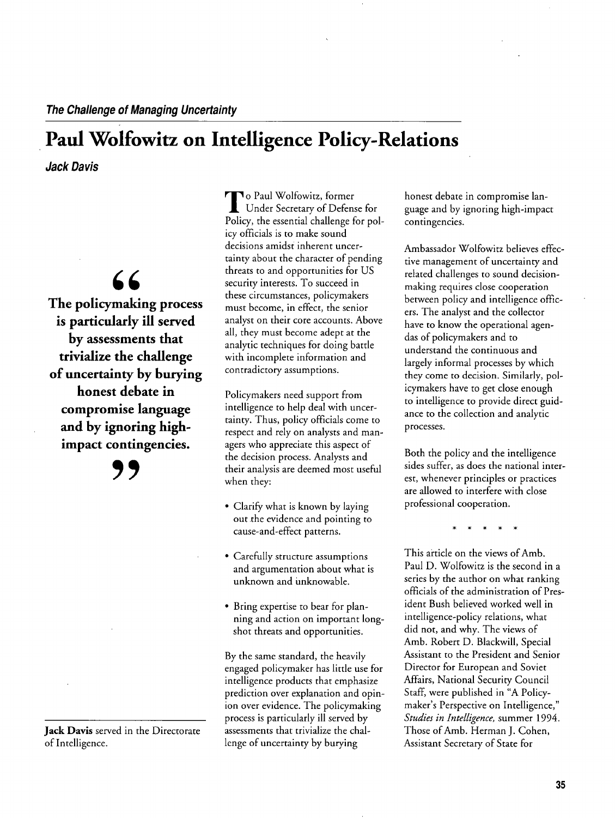### **Paul Wolfowitz on Intelligence Policy-Relations**

**Jack Davis** 

# $66$

**The policymaking process is particularly ill served by assessments that trivialize the challenge of uncertainty by burying honest debate in compromise language and by ignoring highimpact contingencies.** 

**9,** 

**Jack Davis served in the Directorate of Intelligence.** 

**To Paul Wolfowitz, former Under Secretary of Defense for**  Policy, the essential challenge for pol**icy officials is to make sound decisions amidst inherent uncer tainty about the character of pending threats to and opportunities for US security interests. To succeed in these circumstances, policymakers must become, in effect, the senior analyst on their core accounts. Above all, they must become adept at the analytic techniques for doing battle with incomplete information and contradictory assumptions.** 

Policymakers need support from **intelligence to help deal with tainty. Thus, policy officials come to**  respect and rely on analysts and managers who appreciate this aspect of **the decision process. Analysts and their analysis are deemed most useful when they:** 

- **Ł Clarify what is known by laying out .the evidence and pointing to cause-and-effect patterns.**
- **Ł Carefully structure assumptions and argumentation about what is unknown and unknowable.**
- **Ł Bring expertise to bear for plan**hing and action on important long**shot threats and opportunities.**

**By the same standard, the heavily engaged policymaker has little use for intelligence products that emphasize**  prediction over explanation and opin**ion over evidence. The policymaking is process particularly ill served by assessments that trivialize the chal lenge of uncertainty by burying** 

**honest debate in compromise lan and guage by ignoring high-impact contingencies.** 

**Ambassador Wolfowitz believes effec**  tive management of uncertainty and **related challenges to sound decisionmaking requires close cooperation**  between policy and intelligence offic**ers. The analyst and the collector**  have to know the operational agen**das of policymakers and to understand the continuous and largely informal processes by which they come to decision. Similarly, pol icymakers** have to get close enough **to intelligence to provide direct guid ance to the collection and analytic processes.** 

**Both the policy and the intelligence sides suffer, as does the national inter est, whenever principles or practices are allowed to interfere with close professional cooperation.** 

**\* \* \* \* \*** 

**This article on the views of Amb. Paul D. Wolfowitz is the second in a series by the author on what ranking officials of the administration of Pres ident Bush believed worked well in intelligence-policy relations, what did not, and why. The views of Amb. Robert D. Blackwill, Special Assistant to the President and Senior Director for European and Soviet Affairs, National Security Council**  Staff, were published in "A Policymaker's Perspective on Intelligence," **Studies in Intelligence, summer 1994. Those of Amb. Herman J. Cohen, Assistant Secretary of State for**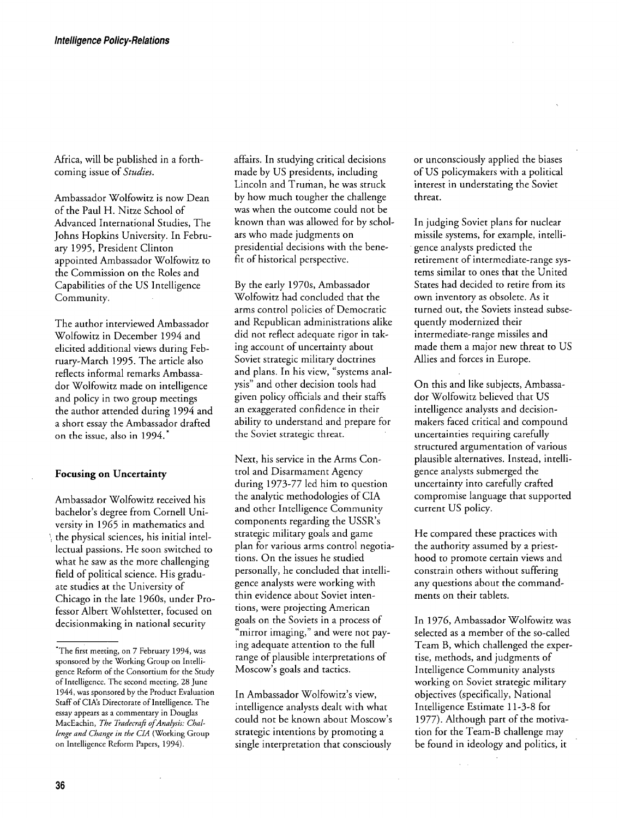**Africa, will be published in a forth coming issue of Studies.** 

**Ambassador Wolfowitz is now Dean of the Paul H. Nitze School of Advanced International Studies, The**  Johns Hopkins University. In February 1995, President Clinton **appointed Ambassador Wolfowitz to the Commission on the Roles and Capabilities of the US Intelligence Community.** 

**The author interviewed Ambassador Wolfowitz in December 1994 and elicited additional views during Feb ruary-March 1995. The article also reflects informal remarks Ambassa dor Wolfowitz made on intelligence and policy in two group meetings the author attended during 1994 and a short the Ambassador drafted essay on the issue, also in 1994.\*** 

#### **Focusing on Uncertainty**

**Ambassador Wolfowitz received his**  bachelor's degree from Cornell Uni**versity in 1965 in mathematics and the physical sciences, his initial intel lectual passions. He soon switched to what he saw as the more challenging field of political science. His gradu ate studies at the University of Chicago in the late 1 960s, under Pro fessor Albert Wohlstetter, focused on decisionmaking in national security** 

**affairs. In studying critical decisions made by US presidents, including Lincoln and Truman, he was struck by how much tougher the challenge was when the outcome could not be known than was allowed for by schol ars who made judgments on presidential decisions with the bene fit of historical perspective.** 

**By the early 1970s, Ambassador Wolfowitz had concluded that the arms control policies of Democratic and Republican administrations alike did not reflect adequate rigor in tak ing account of uncertainty about Soviet strategic military doctrines**  and plans. In his view, "systems analysis" and other decision tools had **given policy officials and their staffs an exaggerated confidence in their**  ability to understand and prepare for **the Soviet strategic threat.** 

Next, his service in the Arms Con**trol and Disarmament Agency during 1973-77 led him to question the analytic methodologies of CIA and other Intelligence Community components regarding the USSR™s strategic military goals and game plan for various arms control negotia tions, On the issues he studied personally, he concluded that intelli gence analysts were working with thin evidence about Soviet inten tions, were projecting American**  goals on the Soviets in a process of mirror imaging," and were not pay**ing adequate attention to the full**  range of plausible interpretations of **Moscow™s goals and tactics.** 

In Ambassador Wolfowitz's view, **intelligence analysts dealt with what**  could not be known about Moscow's **strategic intentions by promoting a single interpretation that consciously** 

**or unconsciously applied the biases of US policymakers with a political interest in understating the Soviet threat.** 

**In judging Soviet plans for nuclear**  missile systems, for example, intelli**gence analysts predicted the retirement of intermediate-range sys tems similar to ones that the United States had decided to retire from its own inventory as obsolete. As it turned out, the Soviets instead subse quently modernized their intermediate-range missiles and made them a major new threat to US Allies and forces in Europe.** 

**On this and like subjects, Ambassa dor Wolfowita believed that US intelligence analysts and decisionmakers faced critical and compound uncertainties requiring carefully structured argumentation of various plausible alternatives. Instead, intelli gence analysts submerged the uncertainty into carefully crafted compromise language that supported current US policy.** 

**He compared these practices with the authority assumed by a priest hood to promote certain views and constrain others without suffering any questions about the command ments on their tablets.** 

**In 1976, Ambassador Wolfowitz was selected as a member of the so-called Team B, which challenged the exper tise, methods, and judgments of Intelligence Community analysts working on Soviet strategic military objectives (specifically, National Intelligence Estimate 11-3-8 for**  1977). Although part of the motiva**tion for the Team-B challenge may be found in ideology and politics, it** 

**<sup>&#</sup>x27;The first meeting, on 7 February 1994, was sponsored by the Working Group on Intelli~ Reform of the Consortium for the gence Study of Intelligence. The second meeting, 28 June 1944, was sponsored by the Product Evaluation Staff of CIA™s Directorate of Intelligence. The**  essay appears as a commentary in Douglas MacEachin, The Tradecraft of Analysis: Challenge and Change in the CIA (Working Group **on Intelligence Reform Papers, 1994).**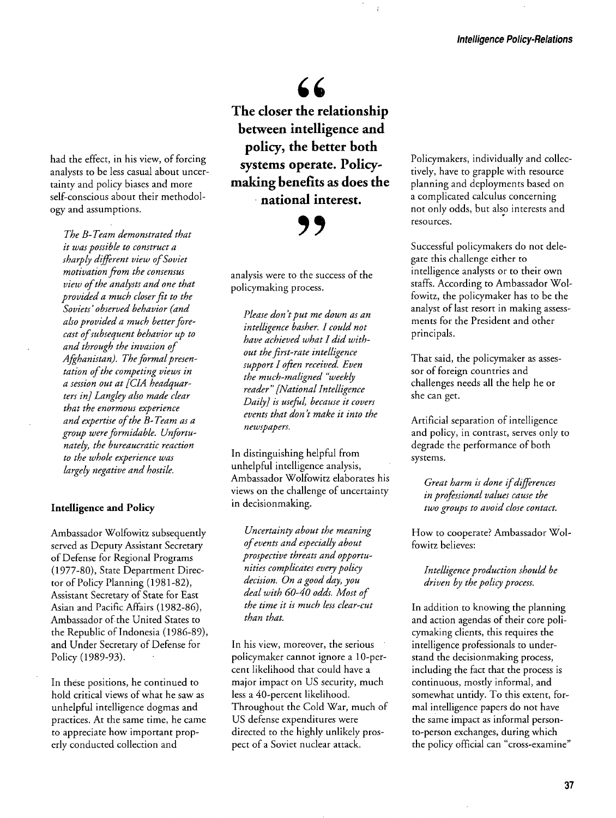### 66 **The closer the relationship between intelligence and policy, the better both systems operate. Policy making benefits as does the national interest.**

**'9** 

**analysis were to the success of the policymaking process.** 

**Please don 'tput me down as an intelligence basher. I could not have achieved what I did with out the first-rate intelligence support I often received. Even the much-maligned fweekly**   $reader''$  [National Intelligence **Daily] is useful, because it covers events that don 't make it into the newspapers.** 

**In distinguishing helpful from unhelpful intelligence analysis, Ambassador Wolfowitz elaborates his views on the challenge of uncertainty in decisionmaking.** 

**Uncertainty about the meaning ofevents and especially about**  prospective threats and opportu**nities complicates every policy decision. On a good day, you deal with 60-40 odds. Most of the time it is much less clear-cut than that.** 

**In his view, moreover, the serious policymaker cannot ignore a 10-per cent likelihood that could have a major impact on US security, much less a 40-percent likelihood. Throughout the Cold War, much of US defense expenditures were directed to the highly unlikely pros of a Soviet nuclear attack. pect** 

**Policymakers, individually and collec tively, have to grapple with resource planning and deployments based on a complicated calculus concerning not only odds, but also interests and resources.** 

**Successful policymakers do not dele this gate challenge either to intelligence analysts or to their own staffs. According to Ambassador Wol fowitz, the policymaker has to be the analyst of last resort in making assess ments for the President and other principals.** 

**That said, the policymaker as asses sor of foreign countries and challenges needs all the help he or she can get.** 

**Artificial separation of intelligence and policy, in contrast, serves only to degrade the performance of both systems.** 

Great harm is done if differences **in professional values cause the two groups to avoid close contact.** 

**How to cooperate? Ambassador Wol fowitz believes:** 

**Intelligence production should be driven by the policy process.** 

**In addition to knowing the planning and action agendas of their core poli cymaking clients, this requires the intelligence professionals to under stand the decisionmaking process,**  including the fact that the process is **continuous, mostly informal, and somewhat untidy. To this extent, for**  mal intelligence papers do not have **the same impact as informal person to-person exchanges, during which**  the policy official can "cross-examine"

**had the effect, in his view, of forcing analysts to be less casual about uncer tainty and policy biases and more self-conscious about their methodol and ogy assumptions.** 

**The B-Team demonstrated that it was possible to construct a sharply different view ofSoviet motivation from the consensus view ofthe analysts and one that**  $p$ rovided a much closer fit to the **Soviets™ observed behavior (and also provided a much betterfore cast ofsubsequent behavior up to and through the invasion of Afghanistan). The formalpresen**  tation of the competing views in **a session out at CIA headquar ters in] Langley also made clear that the enormous experience and expertise ofthe B- Team as a group were formidable. Unfortu nately, the bureaucratic reaction to the whole experience was largely negative and hostile.** 

#### **Intelligence and Policy**

**Ambassador Wolfowitz subsequently served as Deputy Assistant Secretary of Defense for Regional Programs (1977-80), State Department Direc tor of Policy Planning (1981-82), Assistant Secretary of State for East Asian and Pacific Affairs (1982-86), Ambassador of the United States to the Republic of Indonesia (1986-89), and Under Secretary of Defense for**  Policy (1989-93).

**In these positions, he continued to hold critical views of what he saw as unhelpful intelligence dogmas and practices. At the same time, he came**  to appreciate how important prop**erly conducted collection and**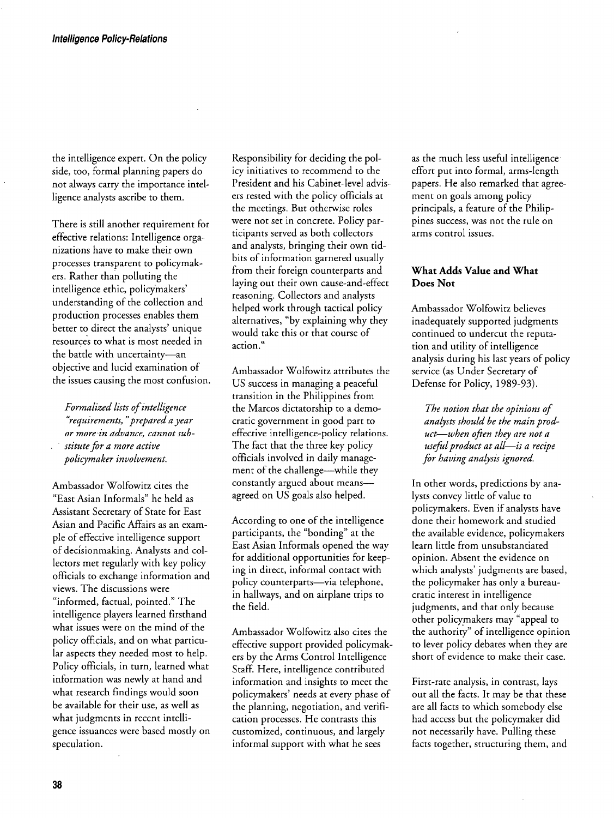the intelligence expert. On the policy side, too, formal planning papers do not always carry the importance intel**ligence analysts ascribe to them.** 

**There is still another requirement for effective relations: Intelligence orga nizations have to make their own processes transparent to policymak ers. Rather thah polluting the**  intelligence ethic, policymakers' **understanding of the collection and**  production processes enables them better to direct the analysts' unique **resources to what is most needed in**  the battle with uncertainty-an **objective and lucid examination of the issues causing the most confusion.** 

**Formalized lists ofintelligence frequirements, fprepared a year or more in advance, cannot sub stitute for a more active policymaker involvement.** 

**Ambassador Wolfowitz cites the fEast Asian Informalsf he held as Assistant Secretary of State for East Asian and Pacific Affairs as an exam ple of effective intelligence support of dec{sionmaking. Analysts and col lectors met regularly with key policy officials to exchange information and views. The discussions were**  "informed, factual, pointed." The **intelligence players learned firsthand what issues were on the mind of the**  policy officials, and on what particu**lar aspects they needed most to help. Policy officials, in turn, learned what information was newly at hand and what research findings would soon be available for their use, as well as**  what judgments in recent intelli**issuances gence were based mostly on speculation.** 

**Responsibility for deciding the pol icy initiatives to recommend to the President and his Cabinet-level advis ers rested with the policy officials at the meetings. But otherwise roles**  were not set in concrete. Policy par**ticipants served as both collectors and analysts, bringing their own tid bits of information garnered usually**  from their foreign counterparts and **laying out their own cause-and-effect reasoning. Collectors and analysts helped work through tactical policy**  alternatives, "by explaining why they **would take this or that course of**  action."

**Ambassador Wolfowitz attributes the US success in managing a peaceful transition in the Philippines from the Marcos dictatorship to a demo**  cratic government in good part to **effective intelligence-policy relations. The fact that the three key policy officials involved in daily manage**  ment of the challenge—while they constantly argued about means **agreed on US goals also helped.** 

**According to one of the intelligence**  participants, the "bonding" at the **East Asian Informals opened the way for additional opportunities for keep ing in direct, informal contact with**  policy counterparts-via telephone, **in hallways, and on airplane trips to the field.** 

**Ambassador Wolfowitz also cites the effective support provided policymak ers by the Arms Control Intelligence Staff. Here, intelligence contributed information and insights to meet the policymakers™ needs at every phase of the planning, negotiation, and verifi**   $cation$  processes. He contrasts this **customized, continuous, and largely**  informal support with what he sees

**as the much less useful intelligence effort put into formal, arms-length He also remarked that papers. agree ment on goals among policy principals, a feature of the Philip pines success, was not the rule on arms control issues.** 

#### **What Adds Value and What Does Not**

**Ambassador Wolfowitz believes inadequately supported judgments continued to undercut the reputa tion and utility of intelligence**  analysis during his last years of policy **service (as Under Secretary of Defense for Policy, 1989-93).** 

**The notion that the opinions of analysts should be the main prod**   $uct$ —when often they are not a  $useful$  *product at all-is a recipe* **for having analysis ignored.** 

**In other words, predictions by ana lysts little of value convey to policymakers. Even if analysts have done their homework and studied the available evidence, policymakers learn little from unsubstantiated opinion. Absent the evidence on**  which analysts' judgments are based, **the policymaker has only a bureau cratic interest in intelligence judgments, and that only because other policyrnakers may fappeal to**  the authority" of intelligence opinion **to lever policy debates when they are short of evidence to make their case.** 

**First-rate analysis, in contrast, lays**  out all the facts. It may be that these **are all facts to which somebody else had access but the policymaker did not necessarily have. Pulling these facts together, structuring them, and**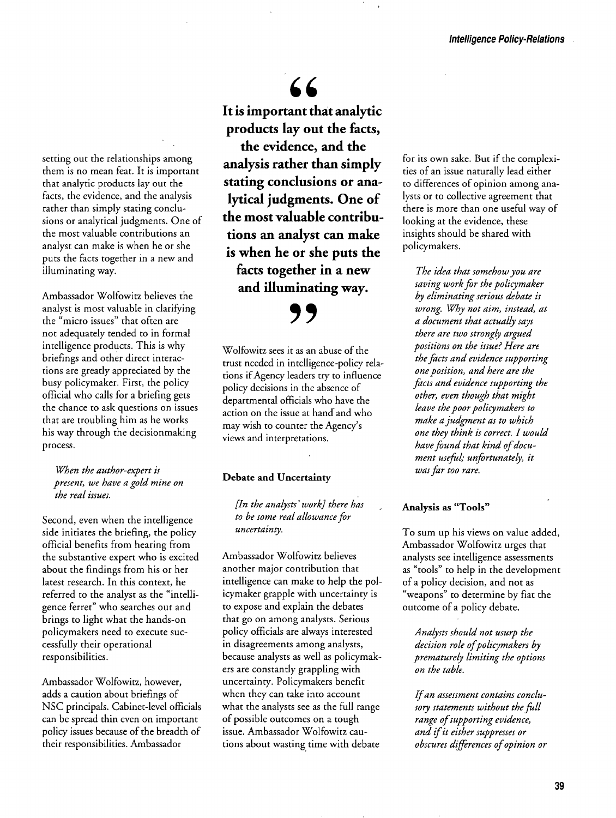**setting out the relationships among them is no mean feat. It is important that analytic products lay out the facts, the evidence, and the analysis rather than simply stating conclu sions or analytical judgments. One of the most valuable contributions an analyst can make is when he or she the facts together in a new and puts illuminating way.** 

**Ambassador Wolfowitz believes the analyst is most valuable in clarifying** the "micro issues" that often are **not adequately tended to in formal intelligence products. This is why briefings and other direct interac tions are greatly appreciated by the busy policymaker. First, the policy official who calls for a briefing gets the chance to ask questions on issues that are troubling him as he works his way through the decisionmaking process.** 

**When the author-expert is**  present, we have a gold mine on **the real issues.** 

**Second, even when the intelligence side initiates the briefing, the policy official benefits from hearing from**  the substantive expert who is excited **about the findings from his or her latest research. In this context, he**  referred to the analyst as the "intelli**ferret**" who searches out and **brings to light what the hands-on policymakers need to execute suc cessfully their operational responsibilities.** 

**Ambassador Wolfowitz, however, adds a caution about briefings of NSC principals. Cabinet-level officials can be spread thin even on important policy issues because of the breadth of their responsibilities. Ambassador** 

66 **It is important that analytic products lay out the facts, the evidence, and the analysis rather than simply stating conclusions or ana lytical judgments. One of the most valuable contribu tions an analyst can make is when he or she puts the facts together in a new and illuminating way.** 

**Wolfowitz sees it as an abuse of the trust needed in intelligence-policy rela tions if Agency leaders try to influence policy decisions in the absence of departmental officials who have the action on the issue at hand and who**  may wish to counter the Agency's **views and interpretations.** 

**9~** 

#### **Debate and Uncertainty**

**In the analysts™ work] there has to be some real allowance for uncertainty.** 

**Ambassador Wolfowitz believes another major contribution that**  intelligence can make to help the pol**icymaker grapple with uncertainty is**  to expose and explain the debates **that go on among analysts. Serious policy officials are always interested in disagreements among analysts, because analysts as well as policymak ers are constantly grappling with uncertainty. Policymakers benefit when they can take into account what the analysts see as the full range of possible outcomes on a tough issue. Ambassador Wolfowitz cau tions about wasting time with debate** 

for its own sake. But if the complexi**ties of an issue naturally lead either to differences of opinion among ana**  lysts or to collective agreement that there is more than one useful way of **looking at the evidence, these insights should be shared with policymakers.** 

**The idea that somehow you are saving work for the policymaker by eliminating serious debate is wrong. Why not aim, instead, at a document that actually says there are two strongly argued positions on the issue? Here are the facts and evidence supporting one position, and here are the facts and evidence supporting the other, even though that might leave the poor policymakers to make <sup>a</sup> judgment as to which one they think is correct. I would have** found that kind of document useful; unfortunately, it **was far too rare.** 

#### Analysis as "Tools"

To sum up his views on value added, Ambassador Wolfowitz urges that **analysts see intelligence assessments**  as "tools" to help in the development **of a policy decision, and not as**  "weapons" to determine by fiat the **outcome of a policy debate.** 

Analysts should not usurp the decision role of policymakers by **prematurely limiting the options on the table.** 

**Ifan assessment contains conclu**   $sory$  *statements* without the full **range ofsupporting evidence, and ifit either suppresses or obscures differences ofopinion or**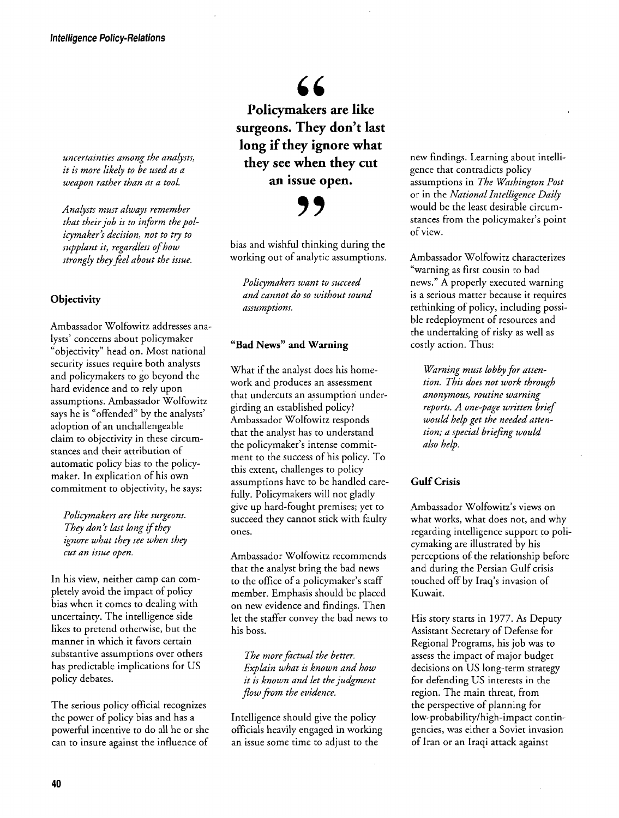uncertainties among the analysts, **it is more likely to be used as a**  weapon rather than as a tool.

**Analysts must always remember that their job is to inform the policymaker™s decision, not to try to**  supplant it, regardless of how **strongly they feel about the issue.** 

#### **Objectivity**

**Ambassador Wolfowitz addresses ana lysts™ concerns about policymaker fobjectivityf head on. Most national security issues require both analysts and policymakers to go beyond the hard evidence and to rely upon assumptions. Ambassador Wolfowitz**  says he is "offended" by the analysts' **adoption of an unchallengeable claim to objectivity in these circum stances and their attribution of automatic policy bias to the policymaker. In explication of his own commitment to objectivity, he says:** 

**Policymakers are like surgeons.**  They don't last long if they **ignore what they see when they cut an issue open.** 

In his view, neither camp can com**pletely avoid the impact of policy bias when it comes to dealing with uncertainty. The intelligence side likes to pretend otherwise, but the manner in which it favors certain substantive assumptions over others has predictable implications for US policy debates.** 

**The serious policy official recognizes the of power policy bias and has a powerful incentive to do all he or she can to insure against the influence of** 

 $66$ **Policymakers are like**  surgeons. They don't last **long if they ignore what they see when they cut an issue open.** 

## **9~**

**bias and wishful thinking during the working out of analytic assumptions.** 

**Policymakers want to succeed and cannot do so without sound assumptions.** 

#### **fBad Newsf and Warning**

**What if the analyst does his home work and produces an assessment that undercuts an assumption under girding an established policy? Ambassador Wolfowitz responds that the analyst has to understand**  the policymaker's intense commit**ment to the success of his policy. To this extent, challenges to policy assumptions have to be handled care fully. Policymakers will not gladly give up hard-fought premises; yet to succeed they cannot stick with faulty ones.** 

**Ambassador Wolfowitz recommends that the analyst bring the bad news** to the office of a policymaker's staff **member. Emphasis should be placed on new evidence and findings. Then**  let the staffer convey the bad news to **his boss.** 

**The more factual the better. Explain what is known and how it is known and let the judgment flow from the evidence.** 

**Intelligence should give the policy officials heavily engaged in working an issue some time to adjust to the** 

**new findings. Learning about intelli that contradicts gence policy assumptions in The Washington Post or in the National Intelligence Daily would be the least desirable circum**  stances from the policymaker's point **of view.** 

**Ambassador Wolfowitz characterizes fwarning as first cousin to bad news.f A properly executed warning is a serious matter because it requires rethinking of policy, including possi ble redeployment of resources and the undertaking of risky as well as costly action. Thus:** 

**Warning must lobby for atten tion. This does not work through routine anonymous, warning reports. A one-page written brief would** help get the needed atten**tion; a special briefing would also help.** 

#### **Gulf Crisis**

**Ambassador Wolfowitz™s views on what works, what does not, and why regarding intelligence support to poli cymaking are illustrated by his perceptions of the relationship before and during the Persian Gulf crisis**  touched off by Iraq's invasion of **Kuwait.** 

**His story starts in 1977. As Deputy Assistant Secretary of Defense for Regional Programs, his job was to assess the impact of major budget decisions on US long-term strategy for defending US interests in the region. The main threat, from the perspective of planning for low-probability/high-impact contin gencies, was either a Soviet invasion of Iran or an Iraqi attack against**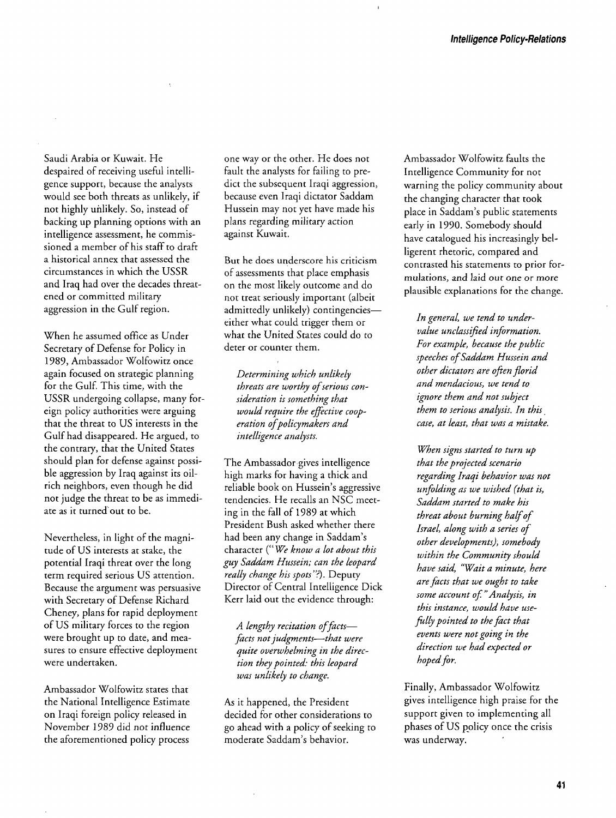**Saudi Arabia or Kuwait. He despaired of receiving useful intelli because the gence support, analysts would see both threats as unlikely, if not highly unlikely. So, instead of backing up planning options with an intelligence assessment, he commis sioned a member of his staff to draft a historical annex that assessed the circumstances in which the USSR and Iraq had over the decades threat ened or committed military aggression in the Gulf region.** 

**When he assumed office as Under Secretary of Defense for Policy in 1989, Ambassador Wolfowitz once again focused on strategic planning for the Gulf. This time, with the USSR** undergoing collapse, many for**eign policy authorities were arguing that the threat to US interests in the Gulf had disappeared. He argued, to**  the contrary, that the United States **should plan for defense against possi ble aggression by Iraq against its oilrich neighbors, even though he did not judge the threat to be as immedi**  ate as it turned out to be.

**Nevertheless, in light of the magni tude of US interests at stake, the potential Iraqi threat over the long term required serious US attention. Because the argument was persuasive with Secretary of Defense Richard Cheney, plans for rapid deployment of US military forces to the region were brought up to date, and mea sures to ensure effective deployment were undertaken.** 

**Ambassador Wolfowitz states that the National Intelligence Estimate on Iraqi foreign policy released in November 1989 did not influence the aforementioned policy process** 

one way or the other. He does not fault the analysts for failing to pre**dict the subsequent Iraqi aggression, because even Iraqi dictator Saddam**  Hussein may not yet have made his **plans regarding military action against Kuwait.** 

**But he does underscore his criticism of assessments that place emphasis on the most likely outcome and do not treat seriously important (albeit**  admittedly unlikely) contingencies**either what could trigger them or what the United States could do to deter or counter them.** 

**Determining which unlikely**  threats are worthy of serious con**sideration is something that**  would require the effective coop**eration ofpolicymakers and intelligence analysts.** 

**The Ambassador gives intelligence high marks for having a thick and**  reliable book on Hussein's aggressive **tendencies. He recalls an NSC meet ing in the fall of 1989 at which President Bush asked whether there**  had been any change in Saddam's **character (f We know a lot about this**  guy Saddam Hussein; can the leopard really change his spots"?). Deputy **Director of Central Intelligence Dick Kerr laid out the evidence through:** 

A lengthy recitation of factsfacts not judgments-that were **quite overwhelming in the direc tion they pointed: this leopard was unlikely to change.** 

**As it happened, the President decided for other considerations to ahead with go a policy of seeking to moderate Saddam™s behavior.** 

**Ambassador Wolfowitz faults the Intelligence Community for not warning the policy community about the changing character that took place in Saddam™s public statements early in 1990. Somebody should have catalogued his increasingly bel ligerent rhetoric, compared and contrasted his statements to prior for mulations, and laid out one or more plausible explanations for the change.** 

In general, we tend to under $value$  unclassified information. **For example, because the public speeches ofSaddam Hussein and other dictators are oflen florid and mendacious, we tend to ignore them and not subject them to serious analysis. In this case, at least, that was a mistake.** 

**When signs started to turn up that the projected scenario regarding Iraqi behavior was not unfolding as we wished (that is, Saddam started to make his threat about burning haIfof Israel, along with a series of other developments); somebody within the Community should have said, fWait a minute, here are facts that we ought to take**  some account of." Analysis, in this instance, would have use**filly pointed to the fact that events were not going in the direction we had expected or**  hoped for.

**Finally, Ambassador Wolfowitz gives intelligence high praise for the support given to implementing all phases of US policy once the crisis was underway.**